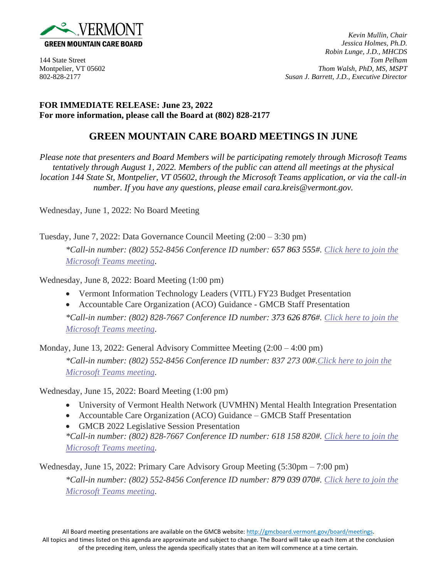

*Kevin Mullin, Chair Jessica Holmes, Ph.D. Robin Lunge, J.D., MHCDS* 144 State Street *Tom Pelham* Montpelier, VT 05602 *Thom Walsh, PhD, MS, MSPT* 802-828-2177 *Susan J. Barrett, J.D., Executive Director*

## **FOR IMMEDIATE RELEASE: June 23, 2022 For more information, please call the Board at (802) 828-2177**

## **GREEN MOUNTAIN CARE BOARD MEETINGS IN JUNE**

*Please note that presenters and Board Members will be participating remotely through Microsoft Teams tentatively through August 1, 2022. Members of the public can attend all meetings at the physical location 144 State St, Montpelier, VT 05602, through the Microsoft Teams application, or via the call-in number. If you have any questions, please email cara.kreis@vermont.gov.*

Wednesday, June 1, 2022: No Board Meeting

Tuesday, June 7, 2022: Data Governance Council Meeting (2:00 – 3:30 pm) *\*Call-in number: (802) 552-8456 Conference ID number: 657 863 555#. [Click here to join the](https://teams.microsoft.com/l/meetup-join/19%3ameeting_NTAyZTI4OTgtYTRjNC00YTQxLWFlODctNWFkODA4MDM2ZmY0%40thread.v2/0?context=%7b%22Tid%22%3a%2220b4933b-baad-433c-9c02-70edcc7559c6%22%2c%22Oid%22%3a%22921969f5-6adc-43f8-a025-ead48fde3307%22%7d)  [Microsoft Teams meeting.](https://teams.microsoft.com/l/meetup-join/19%3ameeting_NTAyZTI4OTgtYTRjNC00YTQxLWFlODctNWFkODA4MDM2ZmY0%40thread.v2/0?context=%7b%22Tid%22%3a%2220b4933b-baad-433c-9c02-70edcc7559c6%22%2c%22Oid%22%3a%22921969f5-6adc-43f8-a025-ead48fde3307%22%7d)*

Wednesday, June 8, 2022: Board Meeting (1:00 pm)

- Vermont Information Technology Leaders (VITL) FY23 Budget Presentation
- Accountable Care Organization (ACO) Guidance GMCB Staff Presentation

*\*Call-in number: (802) 828-7667 Conference ID number: 373 626 876#. [Click here to join the](https://teams.microsoft.com/l/meetup-join/19%3ameeting_OTQwNTc5N2ItMDk1Yy00YjJiLWEyMmUtNjE4MzZkMmI0YjRj%40thread.v2/0?context=%7b%22Tid%22%3a%2220b4933b-baad-433c-9c02-70edcc7559c6%22%2c%22Oid%22%3a%2263d3547f-e4c1-4857-ba9b-7340463e85f4%22%7d)  [Microsoft Teams meeting.](https://teams.microsoft.com/l/meetup-join/19%3ameeting_OTQwNTc5N2ItMDk1Yy00YjJiLWEyMmUtNjE4MzZkMmI0YjRj%40thread.v2/0?context=%7b%22Tid%22%3a%2220b4933b-baad-433c-9c02-70edcc7559c6%22%2c%22Oid%22%3a%2263d3547f-e4c1-4857-ba9b-7340463e85f4%22%7d)*

Monday, June 13, 2022: General Advisory Committee Meeting (2:00 – 4:00 pm)

*\*Call-in number: (802) 552-8456 Conference ID number: 837 273 00#[.Click here to join the](https://teams.microsoft.com/l/meetup-join/19%3ameeting_YmQwNGRlNGItMzQ5OS00YjEwLTlkNzktMjllOGRkODg4MTcw%40thread.v2/0?context=%7b%22Tid%22%3a%2220b4933b-baad-433c-9c02-70edcc7559c6%22%2c%22Oid%22%3a%2206b32bab-9e02-4191-84ce-ecf3d0ce769e%22%7d)  [Microsoft Teams meeting.](https://teams.microsoft.com/l/meetup-join/19%3ameeting_YmQwNGRlNGItMzQ5OS00YjEwLTlkNzktMjllOGRkODg4MTcw%40thread.v2/0?context=%7b%22Tid%22%3a%2220b4933b-baad-433c-9c02-70edcc7559c6%22%2c%22Oid%22%3a%2206b32bab-9e02-4191-84ce-ecf3d0ce769e%22%7d)* 

Wednesday, June 15, 2022: Board Meeting (1:00 pm)

- University of Vermont Health Network (UVMHN) Mental Health Integration Presentation
- Accountable Care Organization (ACO) Guidance GMCB Staff Presentation
- GMCB 2022 Legislative Session Presentation *\*Call-in number: (802) 828-7667 Conference ID number: 618 158 820#. [Click here to join the](https://teams.microsoft.com/l/meetup-join/19%3ameeting_YTIxMDFiMWYtMmY0Ni00MTE3LWExNDAtNjQ4NzA4NjkyZTRj%40thread.v2/0?context=%7b%22Tid%22%3a%2220b4933b-baad-433c-9c02-70edcc7559c6%22%2c%22Oid%22%3a%2263d3547f-e4c1-4857-ba9b-7340463e85f4%22%7d)*

*[Microsoft Teams meeting.](https://teams.microsoft.com/l/meetup-join/19%3ameeting_YTIxMDFiMWYtMmY0Ni00MTE3LWExNDAtNjQ4NzA4NjkyZTRj%40thread.v2/0?context=%7b%22Tid%22%3a%2220b4933b-baad-433c-9c02-70edcc7559c6%22%2c%22Oid%22%3a%2263d3547f-e4c1-4857-ba9b-7340463e85f4%22%7d)*

Wednesday, June 15, 2022: Primary Care Advisory Group Meeting (5:30pm – 7:00 pm)

*\*Call-in number: (802) 552-8456 Conference ID number: 879 039 070#. [Click here to join the](https://teams.microsoft.com/l/meetup-join/19%3ameeting_NmE4NDU1NjItMTJhZC00N2MxLWExNjMtNTRiYjM0NTI4Yzhm%40thread.v2/0?context=%7b%22Tid%22%3a%2220b4933b-baad-433c-9c02-70edcc7559c6%22%2c%22Oid%22%3a%2206b32bab-9e02-4191-84ce-ecf3d0ce769e%22%7d)  [Microsoft Teams meeting.](https://teams.microsoft.com/l/meetup-join/19%3ameeting_NmE4NDU1NjItMTJhZC00N2MxLWExNjMtNTRiYjM0NTI4Yzhm%40thread.v2/0?context=%7b%22Tid%22%3a%2220b4933b-baad-433c-9c02-70edcc7559c6%22%2c%22Oid%22%3a%2206b32bab-9e02-4191-84ce-ecf3d0ce769e%22%7d)*